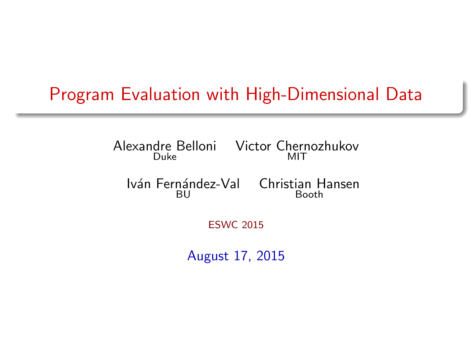### Program Evaluation with High-Dimensional Data

Alexandre Belloni Victor Chernozhukov Duke MIT

Iván Fernández-Val Christian Hansen **BU** Booth

ESWC 2015

August 17, 2015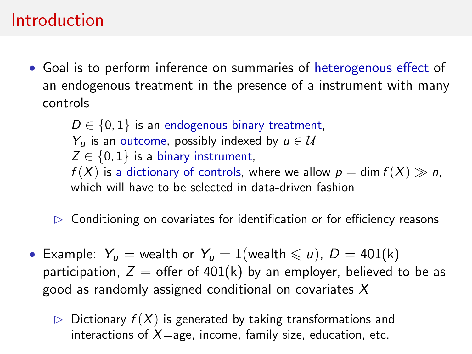### Introduction

• Goal is to perform inference on summaries of heterogenous effect of an endogenous treatment in the presence of a instrument with many controls

 $D \in \{0, 1\}$  is an endogenous binary treatment,  $Y_{\mu}$  is an outcome, possibly indexed by  $\mu \in \mathcal{U}$  $Z \in \{0, 1\}$  is a binary instrument,  $f(X)$  is a dictionary of controls, where we allow  $p = \dim f(X) \gg n$ , which will have to be selected in data-driven fashion

- $\triangleright$  Conditioning on covariates for identification or for efficiency reasons
- Example:  $Y_u$  = wealth or  $Y_u = 1$ (wealth  $\leq u$ ),  $D = 401(k)$ participation,  $Z =$  offer of 401(k) by an employer, believed to be as good as randomly assigned conditional on covariates  $X$ 
	- $\triangleright$  Dictionary  $f(X)$  is generated by taking transformations and interactions of  $X =$ age, income, family size, education, etc.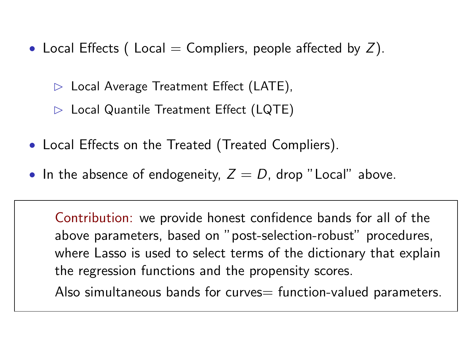- Local Effects (Local = Compliers, people affected by  $Z$ ).
	- $\triangleright$  Local Average Treatment Effect (LATE),
	- $\triangleright$  Local Quantile Treatment Effect (LQTE)
- Local Effects on the Treated (Treated Compliers).
- In the absence of endogeneity,  $Z = D$ , drop "Local" above.

Contribution: we provide honest confidence bands for all of the above parameters, based on "post-selection-robust" procedures, where Lasso is used to select terms of the dictionary that explain the regression functions and the propensity scores.

Also simultaneous bands for curves = function-valued parameters.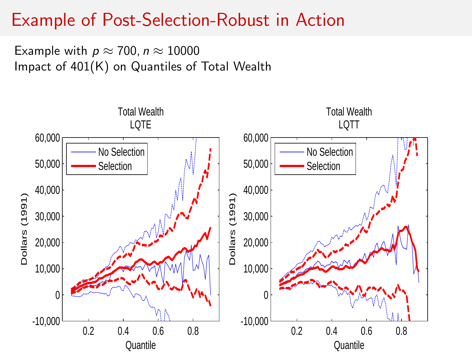## Example of Post-Selection-Robust in Action

Example with  $p \approx 700$ ,  $n \approx 10000$ Impact of 401 $(\mathsf{K})$  on Quantiles of Total Wealth

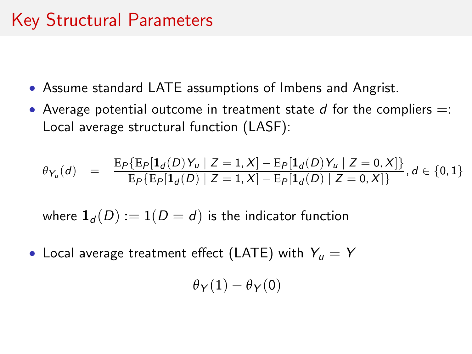# Key Structural Parameters

- Assume standard LATE assumptions of Imbens and Angrist.
- Average potential outcome in treatment state  $d$  for the compliers  $=$ : Local average structural function (LASF):

$$
\theta_{Y_u}(d) = \frac{\mathrm{E}_{P}\{\mathrm{E}_{P}[\mathbf{1}_d(D)Y_u \mid Z=1, X] - \mathrm{E}_{P}[\mathbf{1}_d(D)Y_u \mid Z=0, X]\}}{\mathrm{E}_{P}\{\mathrm{E}_{P}[\mathbf{1}_d(D) \mid Z=1, X] - \mathrm{E}_{P}[\mathbf{1}_d(D) \mid Z=0, X]\}}, d \in \{0, 1\}
$$

where  $\mathbf{1}_d(D) := 1(D = d)$  is the indicator function

• Local average treatment effect (LATE) with  $Y_{\mu} = Y$ 

$$
\theta_{\mathsf{Y}}(1)-\theta_{\mathsf{Y}}(0)
$$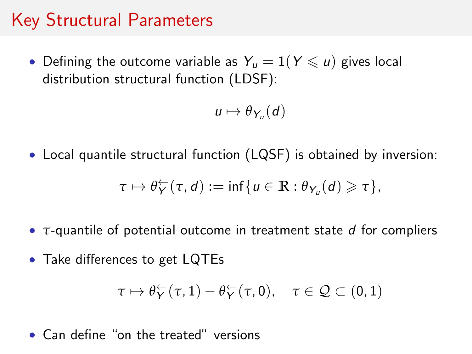## Key Structural Parameters

• Defining the outcome variable as  $Y_u = 1(Y \leq u)$  gives local distribution structural function (LDSF):

$$
u\mapsto \theta_{Y_u}(d)
$$

• Local quantile structural function (LQSF) is obtained by inversion:

$$
\tau \mapsto \theta^{\leftarrow}_Y(\tau, d) := \inf \{ u \in \mathbb{R} : \theta_{Y_u}(d) \geq \tau \},
$$

- *τ*-quantile of potential outcome in treatment state d for compliers
- Take differences to get LQTEs

$$
\tau \mapsto \theta^{\leftarrow}_Y(\tau,1) - \theta^{\leftarrow}_Y(\tau,0), \quad \tau \in \mathcal{Q} \subset (0,1)
$$

#### • Can define "on the treated" versions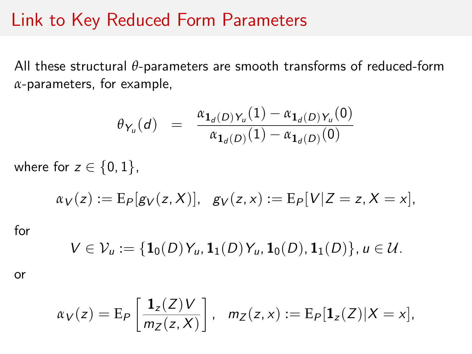#### Link to Key Reduced Form Parameters

All these structural *θ*-parameters are smooth transforms of reduced-form *α*-parameters, for example,

$$
\theta_{Y_u}(d) = \frac{\alpha_{\mathbf{1}_d(D)Y_u}(1) - \alpha_{\mathbf{1}_d(D)Y_u}(0)}{\alpha_{\mathbf{1}_d(D)}(1) - \alpha_{\mathbf{1}_d(D)}(0)}
$$

where for  $z \in \{0, 1\}$ ,

$$
\alpha_V(z) := E_P[g_V(z, X)], \quad g_V(z, x) := E_P[V|Z = z, X = x],
$$

for

$$
V\in\mathcal{V}_u:=\{\mathbf{1}_0(D)\,Y_u,\mathbf{1}_1(D)\,Y_u,\mathbf{1}_0(D),\mathbf{1}_1(D)\},\,u\in\mathcal{U}.
$$

or

$$
\alpha_V(z) = \mathrm{E}_{P}\left[\frac{\mathbf{1}_z(Z)V}{m_Z(z,X)}\right], \quad m_Z(z,x) := \mathrm{E}_{P}[\mathbf{1}_z(Z)|X=x],
$$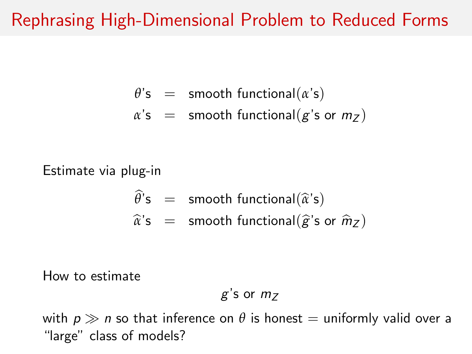### Rephrasing High-Dimensional Problem to Reduced Forms

- $\theta$ 's = smooth functional( $\alpha$ 's)
- $\alpha$ 's = smooth functional( $g$ 's or  $m_Z$ )

Estimate via plug-in

$$
\widehat{\theta}^{\prime} s = \text{smooth functional}(\widehat{\alpha}^{\prime} s)
$$
  

$$
\widehat{\alpha}^{\prime} s = \text{smooth functional}(\widehat{g}^{\prime} s \text{ or } \widehat{m}_Z)
$$

How to estimate

$$
g
$$
's or  $mZ$ 

with  $p \gg n$  so that inference on  $\theta$  is honest  $=$  uniformly valid over a "large" class of models?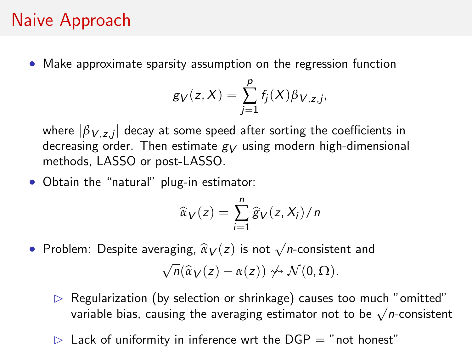## Naive Approach

• Make approximate sparsity assumption on the regression function

$$
g_V(z, X) = \sum_{j=1}^p f_j(X) \beta_{V, z, j},
$$

where  $|\beta_{\,V,z,j}|$  decay at some speed after sorting the coefficients in decreasing order. Then estimate  $g_V$  using modern high-dimensional methods, LASSO or post-LASSO.

• Obtain the "natural" plug-in estimator:

$$
\widehat{\alpha}_V(z) = \sum_{i=1}^n \widehat{g}_V(z, X_i) / n
$$

• Problem: Despite averaging,  $\widehat{\alpha}_V(z)$  is not  $\sqrt{n}$ -consistent and

$$
\sqrt{n}(\widehat{\alpha}_V(z)-\alpha(z)) \nleftrightarrow \mathcal{N}(0,\Omega).
$$

- $\triangleright$  Regularization (by selection or shrinkage) causes too much "omitted" regularization (by selection or shrinkage) causes too much comitted<br>variable bias, causing the averaging estimator not to be  $\sqrt{n}$ -consistent
- $\triangleright$  Lack of uniformity in inference wrt the DGP = "not honest"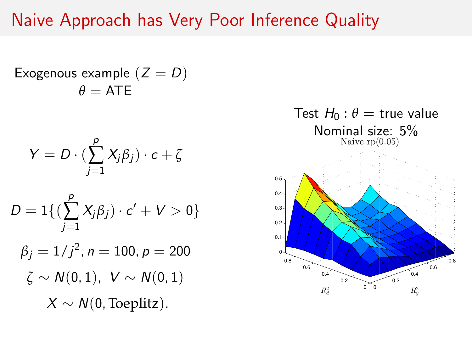### Naive Approach has Very Poor Inference Quality

Exogenous example  $(Z = D)$  $\theta = ATE$ 

$$
Y=D\cdot(\sum_{j=1}^p X_j\beta_j)\cdot c+\zeta
$$

$$
D = 1\{(\sum_{j=1}^{p} X_j \beta_j) \cdot c' + V > 0\}
$$

$$
\beta_j = 1/j^2, n = 100, p = 200
$$
  
\n $\zeta \sim N(0, 1), V \sim N(0, 1)$   
\n $X \sim N(0, \text{Toeplitz}).$ 

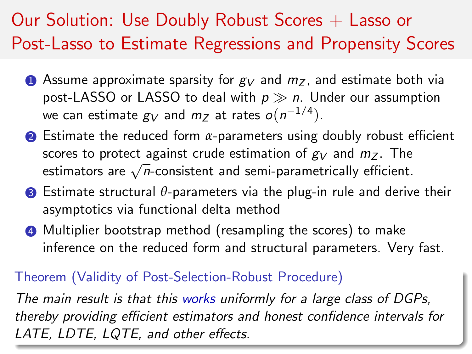# Our Solution: Use Doubly Robust Scores  $+$  Lasso or Post-Lasso to Estimate Regressions and Propensity Scores

- **1** Assume approximate sparsity for  $g_V$  and  $m_Z$ , and estimate both via post-LASSO or LASSO to deal with  $p \gg n$ . Under our assumption we can estimate  $g_V$  and  $m_Z$  at rates  $o(n^{-1/4})$ .
- **2** Estimate the reduced form *α*-parameters using doubly robust efficient scores to protect against crude estimation of  $g_V$  and  $m_Z$ . The scores to protect against crude estimation or  $gy$  and  $m_Z$ . The estimators are  $\sqrt{n}$ -consistent and semi-parametrically efficient.
- **3** Estimate structural θ-parameters via the plug-in rule and derive their asymptotics via functional delta method
- **4** Multiplier bootstrap method (resampling the scores) to make inference on the reduced form and structural parameters. Very fast.

#### Theorem (Validity of Post-Selection-Robust Procedure)

The main result is that this works uniformly for a large class of DGPs, thereby providing efficient estimators and honest confidence intervals for LATE, LDTE, LQTE, and other effects.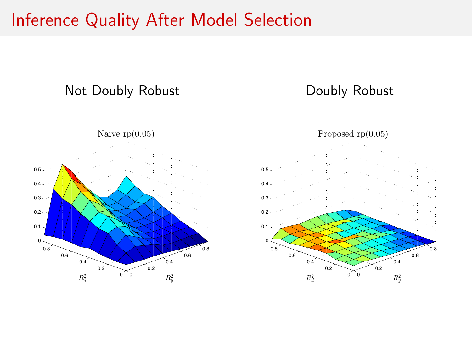#### Inference Quality After Model Selection

#### Not Doubly Robust

#### Doubly Robust



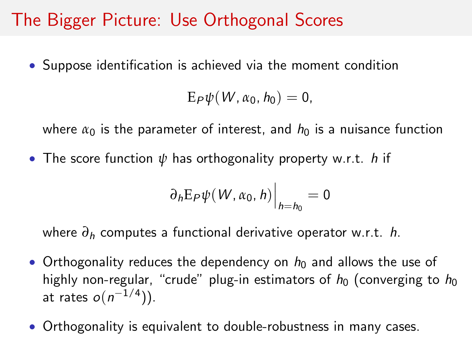## The Bigger Picture: Use Orthogonal Scores

• Suppose identification is achieved via the moment condition

$$
E_P\psi(W,\alpha_0,h_0)=0,
$$

where  $\alpha_0$  is the parameter of interest, and  $h_0$  is a nuisance function

• The score function *ψ* has orthogonality property w.r.t. h if

$$
\partial_h \mathbb{E}_P \psi(W, \alpha_0, h)\Big|_{h=h_0} = 0
$$

where *∂*<sup>h</sup> computes a functional derivative operator w.r.t. h.

- Orthogonality reduces the dependency on  $h_0$  and allows the use of highly non-regular, "crude" plug-in estimators of  $h_0$  (converging to  $h_0$ at rates  $o(n^{-1/4})$ ).
- Orthogonality is equivalent to double-robustness in many cases.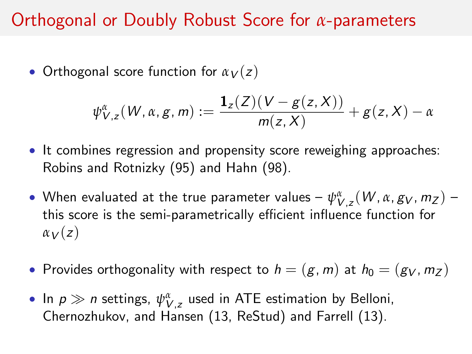### Orthogonal or Doubly Robust Score for *α*-parameters

• Orthogonal score function for  $\alpha_V(z)$ 

$$
\psi_{V,z}^{\alpha}(W,\alpha,g,m):=\frac{\mathbf{1}_{z}(Z)(V-g(z,X))}{m(z,X)}+g(z,X)-\alpha
$$

- It combines regression and propensity score reweighing approaches: Robins and Rotnizky (95) and Hahn (98).
- $\bullet$  When evaluated at the true parameter values  $\psi_{V,z}^\alpha(W,\alpha,g_V,m_Z)$  this score is the semi-parametrically efficient influence function for  $\alpha_V(z)$
- Provides orthogonality with respect to  $h = (g, m)$  at  $h_0 = (g_V, m_Z)$
- In  $p \gg n$  settings,  $\psi_{V, z}^{\alpha}$  used in ATE estimation by Belloni, Chernozhukov, and Hansen (13, ReStud) and Farrell (13).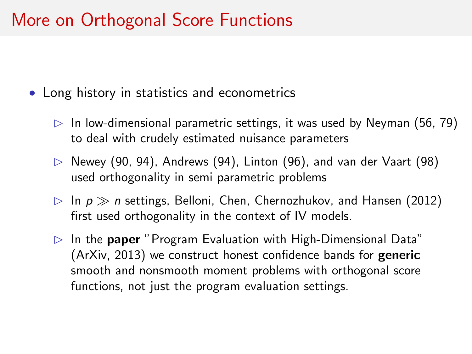## More on Orthogonal Score Functions

- Long history in statistics and econometrics
	- $\triangleright$  In low-dimensional parametric settings, it was used by Neyman (56, 79) to deal with crudely estimated nuisance parameters
	- $\triangleright$  Newey (90, 94), Andrews (94), Linton (96), and van der Vaart (98) used orthogonality in semi parametric problems
	- $\triangleright$  In  $p \gg n$  settings, Belloni, Chen, Chernozhukov, and Hansen (2012) first used orthogonality in the context of IV models.
	- $\triangleright$  In the paper "Program Evaluation with High-Dimensional Data" (ArXiv, 2013) we construct honest confidence bands for generic smooth and nonsmooth moment problems with orthogonal score functions, not just the program evaluation settings.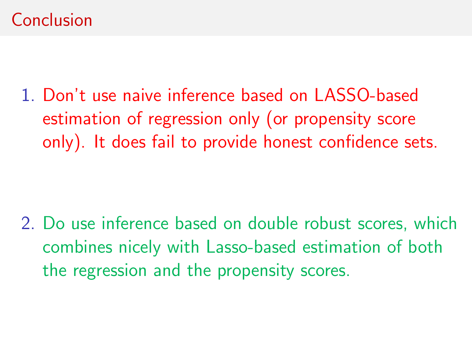## Conclusion

1. Don't use naive inference based on LASSO-based estimation of regression only (or propensity score only). It does fail to provide honest confidence sets.

2. Do use inference based on double robust scores, which combines nicely with Lasso-based estimation of both the regression and the propensity scores.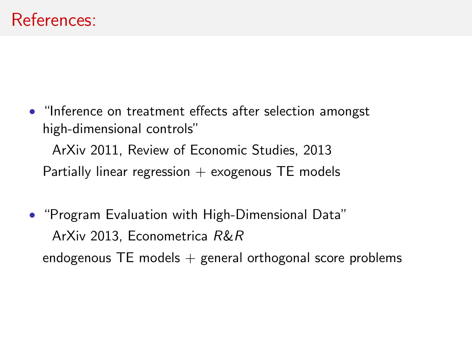- "Inference on treatment effects after selection amongst high-dimensional controls" ArXiv 2011, Review of Economic Studies, 2013 Partially linear regression  $+$  exogenous TE models
- "Program Evaluation with High-Dimensional Data" ArXiv 2013, Econometrica R&R endogenous  $TE$  models  $+$  general orthogonal score problems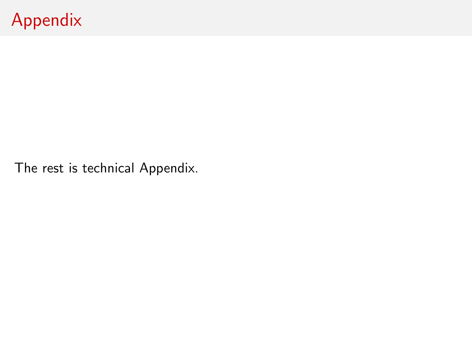# Appendix

The rest is technical Appendix.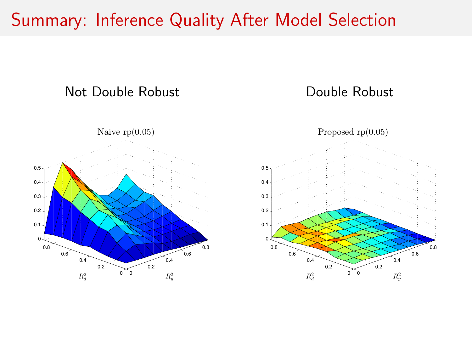#### Summary: Inference Quality After Model Selection

#### Not Double Robust

#### Double Robust



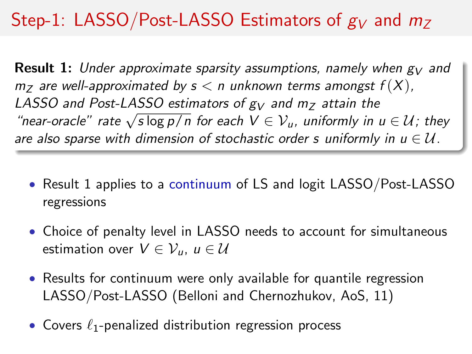# Step-1: LASSO/Post-LASSO Estimators of  $g_V$  and  $m_Z$

**Result 1:** Under approximate sparsity assumptions, namely when  $g_V$  and  $m_Z$  are well-approximated by  $s < n$  unknown terms amongst  $f(X)$ , LASSO and Post-LASSO estimators of  $g_V$  and  $m_Z$  attain the  $x$  and  $x$  and  $x$  are  $\sqrt{s \log p / n}$  for each  $V \in V_u$ , uniformly in  $u \in U$ ; they are also sparse with dimension of stochastic order s uniformly in  $u \in \mathcal{U}$ .

- Result 1 applies to a continuum of LS and logit LASSO/Post-LASSO regressions
- Choice of penalty level in LASSO needs to account for simultaneous estimation over  $V \in \mathcal{V}_u$ ,  $u \in \mathcal{U}$
- Results for continuum were only available for quantile regression LASSO/Post-LASSO (Belloni and Chernozhukov, AoS, 11)
- Covers  $\ell_1$ -penalized distribution regression process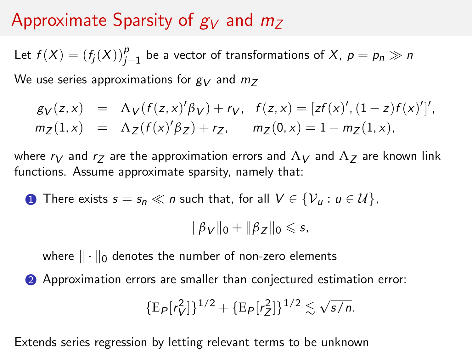## Approximate Sparsity of  $g_V$  and  $m_Z$

Let  $f(X) = (f_j(X))_{j=1}^p$  be a vector of transformations of X,  $p = p_n \gg n$ 

We use series approximations for  $g_V$  and  $m_Z$ 

$$
g_V(z, x) = \Lambda_V(f(z, x)'\beta_V) + r_V, \quad f(z, x) = [zf(x)', (1 - z)f(x)']',m_Z(1, x) = \Lambda_Z(f(x)'\beta_Z) + r_Z, \qquad m_Z(0, x) = 1 - m_Z(1, x),
$$

where  $r_V$  and  $r_Z$  are the approximation errors and  $\Lambda_V$  and  $\Lambda_Z$  are known link functions. Assume approximate sparsity, namely that:

**1** There exists  $s = s_n \ll n$  such that, for all  $V \in \{V_u : u \in \mathcal{U}\}\$ ,

 $\|\beta_V\|_0 + \|\beta_Z\|_0 \leq s$ ,

where  $\|\cdot\|_0$  denotes the number of non-zero elements

2 Approximation errors are smaller than conjectured estimation error:

$$
\{\mathop{\mathrm{E}}\nolimits_P[r_V^2]\}^{1/2} + \{\mathop{\mathrm{E}}\nolimits_P[r_Z^2]\}^{1/2} \lesssim \sqrt{\frac{s}{n}}.
$$

Extends series regression by letting relevant terms to be unknown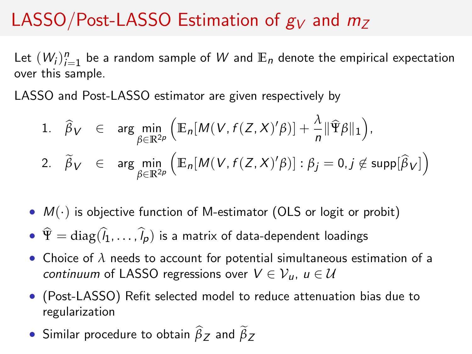# LASSO/Post-LASSO Estimation of  $g_V$  and  $m_Z$

Let  $(W_i)_{i=1}^n$  be a random sample of  $W$  and  $\mathbb{E}_n$  denote the empirical expectation over this sample.

LASSO and Post-LASSO estimator are given respectively by

1. 
$$
\widehat{\beta}_V \in \arg\min_{\beta \in \mathbb{R}^{2p}} \left( \mathbb{E}_n[M(V, f(Z, X)'\beta)] + \frac{\lambda}{n} ||\widehat{\Psi}\beta||_1 \right),
$$
  
\n2.  $\widetilde{\beta}_V \in \arg\min_{\beta \in \mathbb{R}^{2p}} \left( \mathbb{E}_n[M(V, f(Z, X)'\beta)] : \beta_j = 0, j \notin \text{supp}[\widehat{\beta}_V] \right)$ 

- $M(\cdot)$  is objective function of M-estimator (OLS or logit or probit)
- $\hat{\Psi} = \text{diag}(\hat{l}_1, \ldots, \hat{l}_p)$  is a matrix of data-dependent loadings
- Choice of *λ* needs to account for potential simultaneous estimation of a continuum of LASSO regressions over  $V \in \mathcal{V}_u$ ,  $u \in \mathcal{U}$
- (Post-LASSO) Refit selected model to reduce attenuation bias due to regularization
- Similar procedure to obtain  $\beta_Z$  and  $\beta_Z$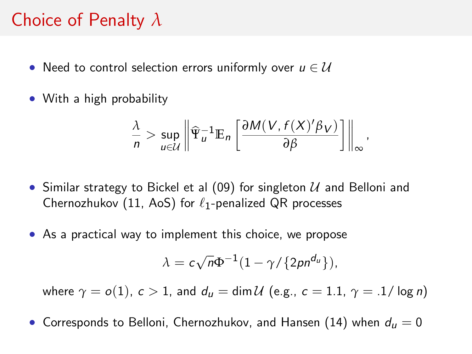### Choice of Penalty *λ*

- Need to control selection errors uniformly over  $u \in \mathcal{U}$
- With a high probability

$$
\frac{\lambda}{n} > \sup_{u \in \mathcal{U}} \left\| \widehat{\Psi}_u^{-1} \mathbb{E}_n \left[ \frac{\partial M(V, f(X)'\beta_V)}{\partial \beta} \right] \right\|_{\infty},
$$

- Similar strategy to Bickel et al (09) for singleton  $U$  and Belloni and Chernozhukov (11, AoS) for  $\ell_1$ -penalized QR processes
- As a practical way to implement this choice, we propose

$$
\lambda = c\sqrt{n}\Phi^{-1}(1-\gamma/\{2pn^{d_u}\}),
$$

where  $\gamma = o(1)$ ,  $c > 1$ , and  $d_u = \dim \mathcal{U}$  (e.g.,  $c = 1.1$ ,  $\gamma = .1/\log n$ )

• Corresponds to Belloni, Chernozhukov, and Hansen (14) when  $d_u = 0$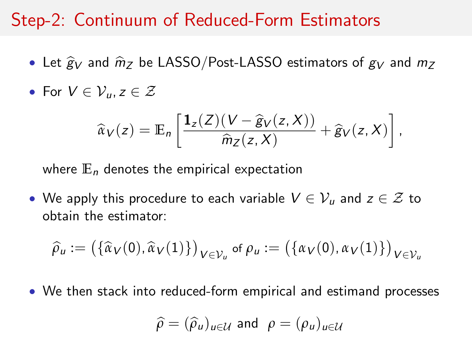#### Step-2: Continuum of Reduced-Form Estimators

- Let  $\hat{g}_V$  and  $\hat{m}_Z$  be LASSO/Post-LASSO estimators of  $g_V$  and  $m_Z$
- For  $V \in \mathcal{V}_u, z \in \mathcal{Z}$

$$
\widehat{\alpha}_V(z) = \mathbb{E}_n \left[ \frac{\mathbf{1}_z(Z)(V - \widehat{g}_V(z, X))}{\widehat{m}_Z(z, X)} + \widehat{g}_V(z, X) \right],
$$

where  $E_n$  denotes the empirical expectation

• We apply this procedure to each variable  $V \in \mathcal{V}_u$  and  $z \in \mathcal{Z}$  to obtain the estimator:

$$
\widehat{\rho}_u := (\{\widehat{\alpha}_V(0), \widehat{\alpha}_V(1)\})_{V \in \mathcal{V}_u} \text{ of } \rho_u := (\{\alpha_V(0), \alpha_V(1)\})_{V \in \mathcal{V}_u}
$$

• We then stack into reduced-form empirical and estimand processes

$$
\widehat{\rho} = (\widehat{\rho}_u)_{u \in \mathcal{U}} \text{ and } \rho = (\rho_u)_{u \in \mathcal{U}}
$$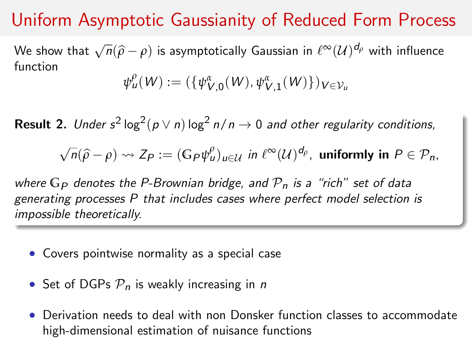## Uniform Asymptotic Gaussianity of Reduced Form Process

We show that  $\sqrt{n}(\widehat{\rho}-\rho)$  is asymptotically Gaussian in  $\ell^\infty(\mathcal{U})^{d_\rho}$  with influence function

$$
\psi_u^{\rho}(W) := (\{\psi_{V,0}^{\alpha}(W), \psi_{V,1}^{\alpha}(W)\})_{V \in \mathcal{V}_u}
$$

**Result 2.** Under  $s^2 \log^2 (p \vee n) \log^2 n / n \rightarrow 0$  and other regularity conditions,

 $\sqrt{n}(\widehat{\rho}-\rho) \rightsquigarrow Z_P := (\mathbb{G}_P \psi^\rho_u)_{u \in \mathcal{U}}$  in  $\ell^{\infty}(\mathcal{U})^{d_\rho}$ , uniformly in  $P \in \mathcal{P}_n$ ,

where  $G_P$  denotes the P-Brownian bridge, and  $P_n$  is a "rich" set of data generating processes P that includes cases where perfect model selection is impossible theoretically.

- Covers pointwise normality as a special case
- Set of DGPs  $P_n$  is weakly increasing in n
- Derivation needs to deal with non Donsker function classes to accommodate high-dimensional estimation of nuisance functions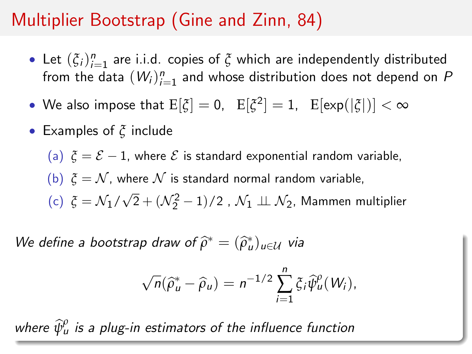# Multiplier Bootstrap (Gine and Zinn, 84)

- Let  $(\xi_i)_{i=1}^n$  are i.i.d. copies of  $\xi$  which are independently distributed from the data  $(W_i)_{i=1}^n$  and whose distribution does not depend on  $P$
- We also impose that  $\mathrm{E}[\xi]=0$ ,  $\mathbb{E}[\xi^2]=1$ ,  $\mathbb{E}[\exp(|\xi|)]<\infty$
- Examples of *ξ* include

(a)  $\xi = \mathcal{E} - 1$ , where  $\mathcal E$  is standard exponential random variable, (b)  $\zeta = \mathcal{N}$ , where  $\mathcal N$  is standard normal random variable, (c) *ξ* = N1/  $\sqrt{2} + (\mathcal{N}_{2}^{2} - 1)/2$  ,  $\mathcal{N}_{1} \perp \!\!\! \perp \mathcal{N}_{2}$ , Mammen multiplier

We define a bootstrap draw of  $\widehat{\rho}^* = (\widehat{\rho}_u^*)_{u \in \mathcal{U}}$  via

$$
\sqrt{n}(\widehat{\rho}_u^* - \widehat{\rho}_u) = n^{-1/2} \sum_{i=1}^n \xi_i \widehat{\psi}_u^{\rho}(W_i),
$$

where  $\widehat{\psi}^{\rho}_{\mu}$  is a plug-in estimators of the influence function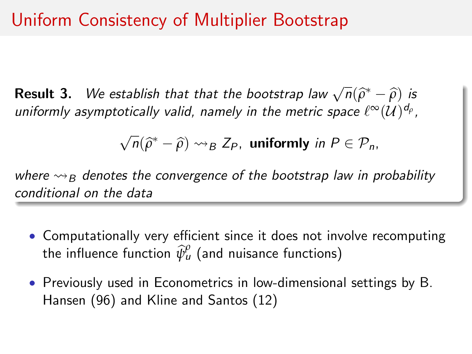**Result 3.** We establish that that the bootstrap law  $\sqrt{n}(\hat{\rho}^* - \hat{\rho})$  is uniformly asymptotically valid, pamoly in the metric space  $\ell^{\infty}(U)$ uniformly asymptotically valid, namely in the metric space  $\ell^\infty(\mathcal{U})^{d_\rho}$ ,

$$
\sqrt{n}(\widehat{\rho}^* - \widehat{\rho}) \rightsquigarrow_B Z_P, \text{ uniformly in } P \in \mathcal{P}_n,
$$

where  $\rightsquigarrow$ <sub>B</sub> denotes the convergence of the bootstrap law in probability conditional on the data

- Computationally very efficient since it does not involve recomputing the influence function  $\widehat{\psi}^{\rho}_{\mu}$  (and nuisance functions)
- Previously used in Econometrics in low-dimensional settings by B. Hansen (96) and Kline and Santos (12)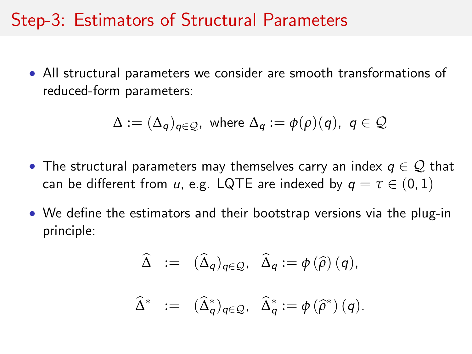### Step-3: Estimators of Structural Parameters

• All structural parameters we consider are smooth transformations of reduced-form parameters:

$$
\Delta := (\Delta_q)_{q \in \mathcal{Q}}, \text{ where } \Delta_q := \phi(\rho)(q), \ q \in \mathcal{Q}
$$

- The structural parameters may themselves carry an index  $q \in \mathcal{Q}$  that can be different from u, e.g. LQTE are indexed by  $q = \tau \in (0, 1)$
- We define the estimators and their bootstrap versions via the plug-in principle:

$$
\widehat{\Delta} := (\widehat{\Delta}_q)_{q \in \mathcal{Q}}, \ \widehat{\Delta}_q := \phi(\widehat{\rho}) (q),
$$

$$
\widehat{\Delta}^* := (\widehat{\Delta}_q^*)_{q \in \mathcal{Q}}, \ \widehat{\Delta}_q^* := \phi(\widehat{\rho}^*) (q).
$$